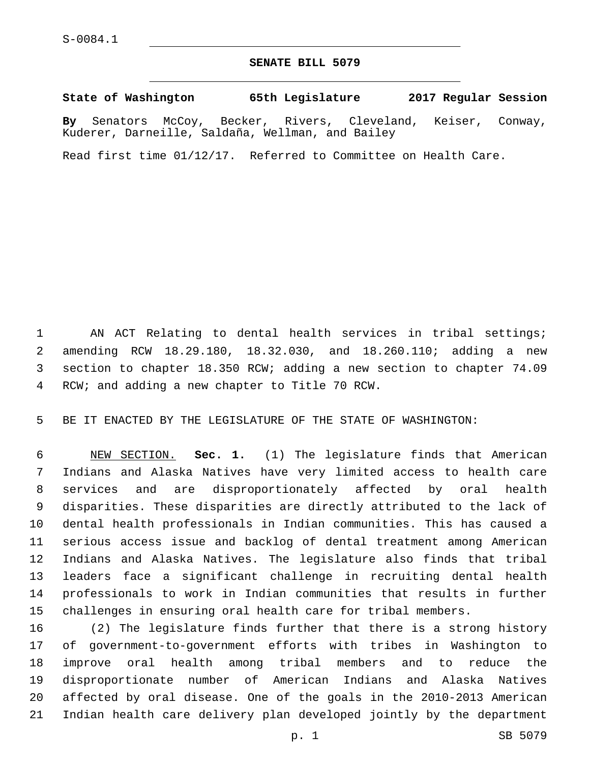## **SENATE BILL 5079**

**State of Washington 65th Legislature 2017 Regular Session**

**By** Senators McCoy, Becker, Rivers, Cleveland, Keiser, Conway, Kuderer, Darneille, Saldaña, Wellman, and Bailey

Read first time 01/12/17. Referred to Committee on Health Care.

1 AN ACT Relating to dental health services in tribal settings; amending RCW 18.29.180, 18.32.030, and 18.260.110; adding a new section to chapter 18.350 RCW; adding a new section to chapter 74.09 4 RCW; and adding a new chapter to Title 70 RCW.

BE IT ENACTED BY THE LEGISLATURE OF THE STATE OF WASHINGTON:

 NEW SECTION. **Sec. 1.** (1) The legislature finds that American Indians and Alaska Natives have very limited access to health care services and are disproportionately affected by oral health disparities. These disparities are directly attributed to the lack of dental health professionals in Indian communities. This has caused a serious access issue and backlog of dental treatment among American Indians and Alaska Natives. The legislature also finds that tribal leaders face a significant challenge in recruiting dental health professionals to work in Indian communities that results in further challenges in ensuring oral health care for tribal members.

 (2) The legislature finds further that there is a strong history of government-to-government efforts with tribes in Washington to improve oral health among tribal members and to reduce the disproportionate number of American Indians and Alaska Natives affected by oral disease. One of the goals in the 2010-2013 American Indian health care delivery plan developed jointly by the department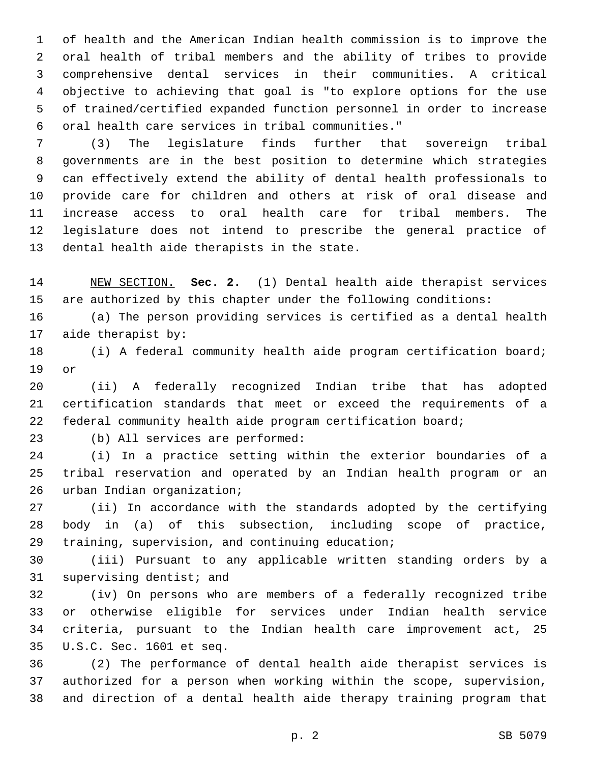of health and the American Indian health commission is to improve the oral health of tribal members and the ability of tribes to provide comprehensive dental services in their communities. A critical objective to achieving that goal is "to explore options for the use of trained/certified expanded function personnel in order to increase oral health care services in tribal communities."6

 (3) The legislature finds further that sovereign tribal governments are in the best position to determine which strategies can effectively extend the ability of dental health professionals to provide care for children and others at risk of oral disease and increase access to oral health care for tribal members. The legislature does not intend to prescribe the general practice of 13 dental health aide therapists in the state.

 NEW SECTION. **Sec. 2.** (1) Dental health aide therapist services are authorized by this chapter under the following conditions:

 (a) The person providing services is certified as a dental health 17 aide therapist by:

 (i) A federal community health aide program certification board; 19 or

 (ii) A federally recognized Indian tribe that has adopted certification standards that meet or exceed the requirements of a federal community health aide program certification board;

23 (b) All services are performed:

 (i) In a practice setting within the exterior boundaries of a tribal reservation and operated by an Indian health program or an 26 urban Indian organization;

 (ii) In accordance with the standards adopted by the certifying body in (a) of this subsection, including scope of practice, 29 training, supervision, and continuing education;

 (iii) Pursuant to any applicable written standing orders by a 31 supervising dentist; and

 (iv) On persons who are members of a federally recognized tribe or otherwise eligible for services under Indian health service criteria, pursuant to the Indian health care improvement act, 25 U.S.C. Sec. 1601 et seq.35

 (2) The performance of dental health aide therapist services is authorized for a person when working within the scope, supervision, and direction of a dental health aide therapy training program that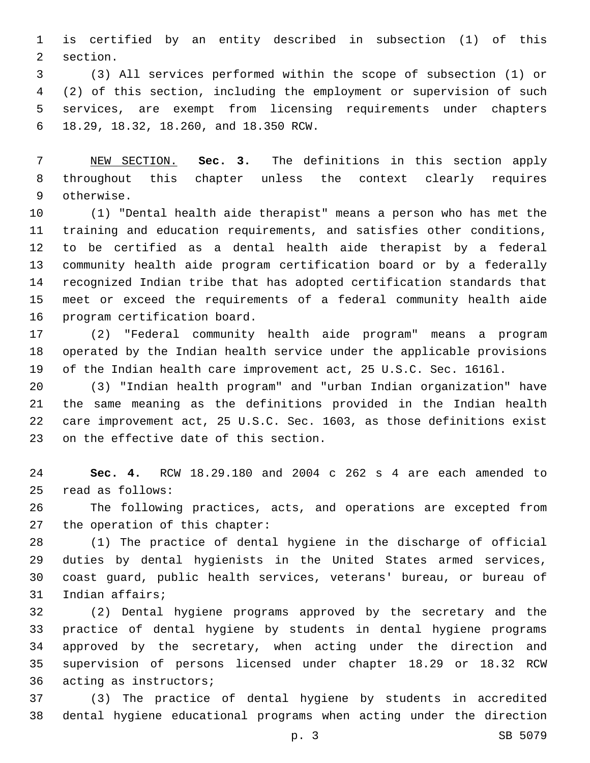is certified by an entity described in subsection (1) of this 2 section.

 (3) All services performed within the scope of subsection (1) or (2) of this section, including the employment or supervision of such services, are exempt from licensing requirements under chapters 18.29, 18.32, 18.260, and 18.350 RCW.6

 NEW SECTION. **Sec. 3.** The definitions in this section apply throughout this chapter unless the context clearly requires otherwise.

 (1) "Dental health aide therapist" means a person who has met the training and education requirements, and satisfies other conditions, to be certified as a dental health aide therapist by a federal community health aide program certification board or by a federally recognized Indian tribe that has adopted certification standards that meet or exceed the requirements of a federal community health aide 16 program certification board.

 (2) "Federal community health aide program" means a program operated by the Indian health service under the applicable provisions of the Indian health care improvement act, 25 U.S.C. Sec. 1616l.

 (3) "Indian health program" and "urban Indian organization" have the same meaning as the definitions provided in the Indian health care improvement act, 25 U.S.C. Sec. 1603, as those definitions exist 23 on the effective date of this section.

 **Sec. 4.** RCW 18.29.180 and 2004 c 262 s 4 are each amended to read as follows:25

 The following practices, acts, and operations are excepted from 27 the operation of this chapter:

 (1) The practice of dental hygiene in the discharge of official duties by dental hygienists in the United States armed services, coast guard, public health services, veterans' bureau, or bureau of 31 Indian affairs;

 (2) Dental hygiene programs approved by the secretary and the practice of dental hygiene by students in dental hygiene programs approved by the secretary, when acting under the direction and supervision of persons licensed under chapter 18.29 or 18.32 RCW 36 acting as instructors;

 (3) The practice of dental hygiene by students in accredited dental hygiene educational programs when acting under the direction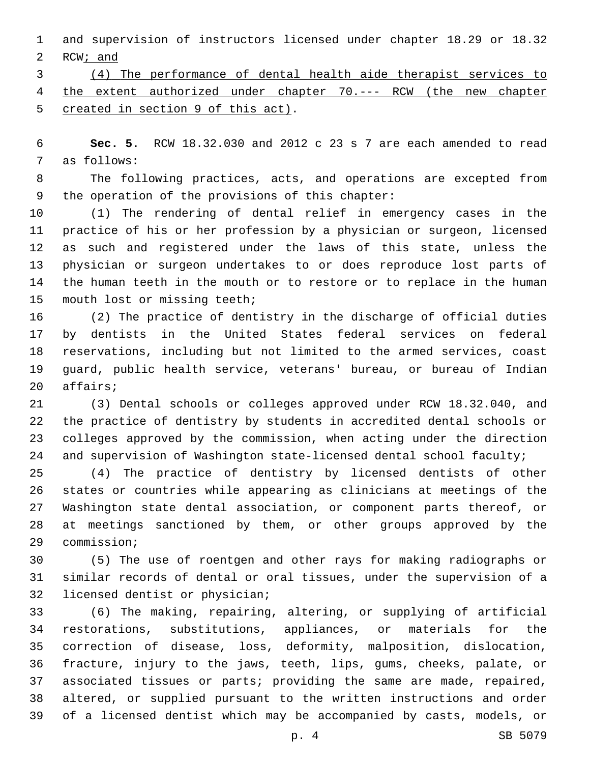and supervision of instructors licensed under chapter 18.29 or 18.32 RCW; and

 (4) The performance of dental health aide therapist services to the extent authorized under chapter 70.--- RCW (the new chapter 5 created in section 9 of this act).

 **Sec. 5.** RCW 18.32.030 and 2012 c 23 s 7 are each amended to read 7 as follows:

 The following practices, acts, and operations are excepted from 9 the operation of the provisions of this chapter:

 (1) The rendering of dental relief in emergency cases in the practice of his or her profession by a physician or surgeon, licensed as such and registered under the laws of this state, unless the physician or surgeon undertakes to or does reproduce lost parts of the human teeth in the mouth or to restore or to replace in the human 15 mouth lost or missing teeth;

 (2) The practice of dentistry in the discharge of official duties by dentists in the United States federal services on federal reservations, including but not limited to the armed services, coast guard, public health service, veterans' bureau, or bureau of Indian 20 affairs;

 (3) Dental schools or colleges approved under RCW 18.32.040, and the practice of dentistry by students in accredited dental schools or colleges approved by the commission, when acting under the direction 24 and supervision of Washington state-licensed dental school faculty;

 (4) The practice of dentistry by licensed dentists of other states or countries while appearing as clinicians at meetings of the Washington state dental association, or component parts thereof, or at meetings sanctioned by them, or other groups approved by the 29 commission;

 (5) The use of roentgen and other rays for making radiographs or similar records of dental or oral tissues, under the supervision of a 32 licensed dentist or physician;

 (6) The making, repairing, altering, or supplying of artificial restorations, substitutions, appliances, or materials for the correction of disease, loss, deformity, malposition, dislocation, fracture, injury to the jaws, teeth, lips, gums, cheeks, palate, or associated tissues or parts; providing the same are made, repaired, altered, or supplied pursuant to the written instructions and order of a licensed dentist which may be accompanied by casts, models, or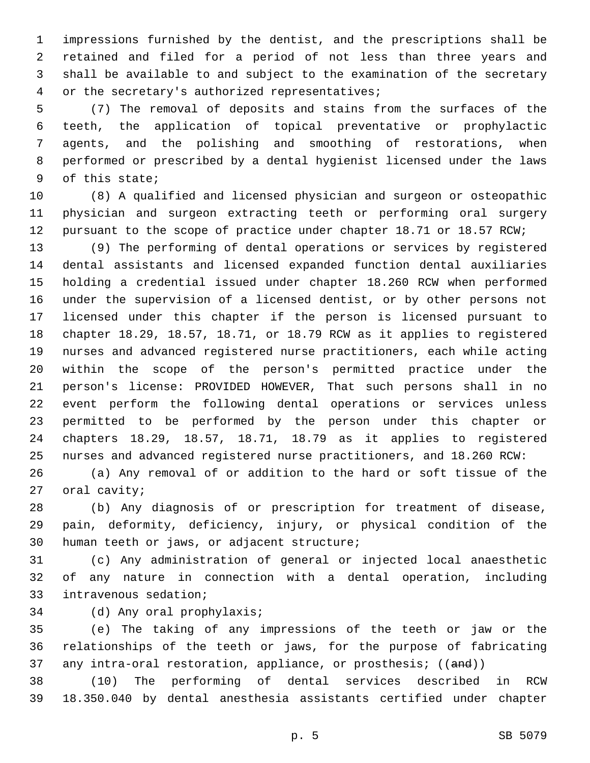impressions furnished by the dentist, and the prescriptions shall be retained and filed for a period of not less than three years and shall be available to and subject to the examination of the secretary 4 or the secretary's authorized representatives;

 (7) The removal of deposits and stains from the surfaces of the teeth, the application of topical preventative or prophylactic agents, and the polishing and smoothing of restorations, when performed or prescribed by a dental hygienist licensed under the laws 9 of this state;

 (8) A qualified and licensed physician and surgeon or osteopathic physician and surgeon extracting teeth or performing oral surgery pursuant to the scope of practice under chapter 18.71 or 18.57 RCW;

 (9) The performing of dental operations or services by registered dental assistants and licensed expanded function dental auxiliaries holding a credential issued under chapter 18.260 RCW when performed under the supervision of a licensed dentist, or by other persons not licensed under this chapter if the person is licensed pursuant to chapter 18.29, 18.57, 18.71, or 18.79 RCW as it applies to registered nurses and advanced registered nurse practitioners, each while acting within the scope of the person's permitted practice under the person's license: PROVIDED HOWEVER, That such persons shall in no event perform the following dental operations or services unless permitted to be performed by the person under this chapter or chapters 18.29, 18.57, 18.71, 18.79 as it applies to registered nurses and advanced registered nurse practitioners, and 18.260 RCW:

 (a) Any removal of or addition to the hard or soft tissue of the 27 oral cavity;

 (b) Any diagnosis of or prescription for treatment of disease, pain, deformity, deficiency, injury, or physical condition of the 30 human teeth or jaws, or adjacent structure;

 (c) Any administration of general or injected local anaesthetic of any nature in connection with a dental operation, including 33 intravenous sedation;

34 (d) Any oral prophylaxis;

 (e) The taking of any impressions of the teeth or jaw or the relationships of the teeth or jaws, for the purpose of fabricating 37 any intra-oral restoration, appliance, or prosthesis; ((and))

 (10) The performing of dental services described in RCW 18.350.040 by dental anesthesia assistants certified under chapter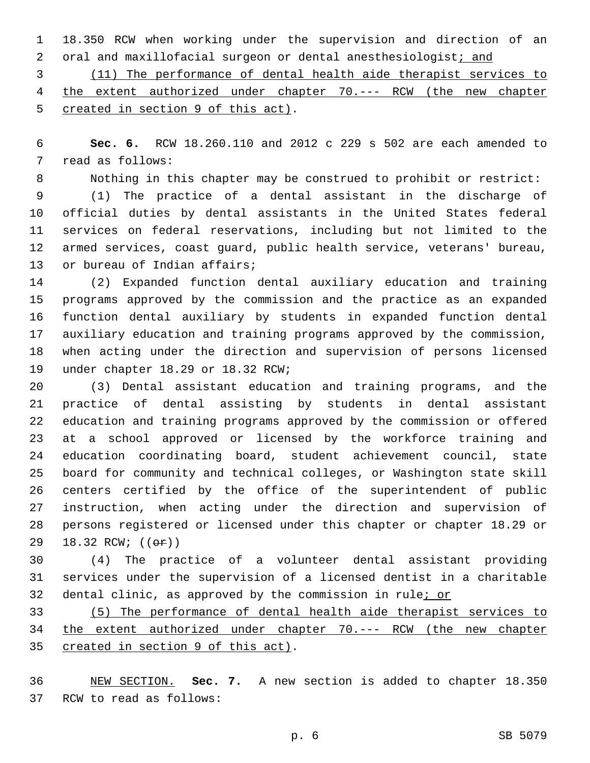18.350 RCW when working under the supervision and direction of an 2 oral and maxillofacial surgeon or dental anesthesiologist; and

 (11) The performance of dental health aide therapist services to the extent authorized under chapter 70.--- RCW (the new chapter 5 created in section 9 of this act).

 **Sec. 6.** RCW 18.260.110 and 2012 c 229 s 502 are each amended to 7 read as follows:

Nothing in this chapter may be construed to prohibit or restrict:

 (1) The practice of a dental assistant in the discharge of official duties by dental assistants in the United States federal services on federal reservations, including but not limited to the armed services, coast guard, public health service, veterans' bureau, 13 or bureau of Indian affairs;

 (2) Expanded function dental auxiliary education and training programs approved by the commission and the practice as an expanded function dental auxiliary by students in expanded function dental auxiliary education and training programs approved by the commission, when acting under the direction and supervision of persons licensed 19 under chapter 18.29 or 18.32 RCW;

 (3) Dental assistant education and training programs, and the practice of dental assisting by students in dental assistant education and training programs approved by the commission or offered at a school approved or licensed by the workforce training and education coordinating board, student achievement council, state board for community and technical colleges, or Washington state skill centers certified by the office of the superintendent of public instruction, when acting under the direction and supervision of persons registered or licensed under this chapter or chapter 18.29 or 29 18.32 RCW; (( $\Theta$ ))

 (4) The practice of a volunteer dental assistant providing services under the supervision of a licensed dentist in a charitable 32 dental clinic, as approved by the commission in rule; or

 (5) The performance of dental health aide therapist services to the extent authorized under chapter 70.--- RCW (the new chapter 35 created in section 9 of this act).

 NEW SECTION. **Sec. 7.** A new section is added to chapter 18.350 37 RCW to read as follows: